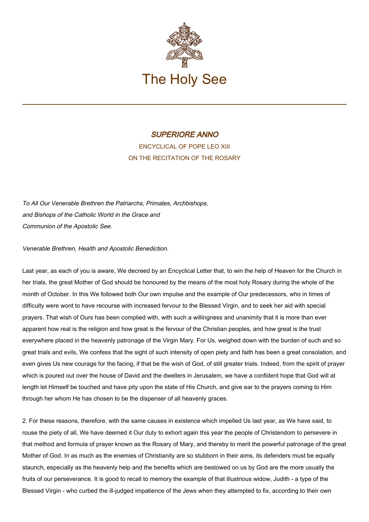

## SUPERIORE ANNO

ENCYCLICAL OF POPE LEO XIII ON THE RECITATION OF THE ROSARY

To All Our Venerable Brethren the Patriarchs, Primates, Archbishops, and Bishops of the Catholic World in the Grace and Communion of the Apostolic See.

## Venerable Brethren, Health and Apostolic Benediction.

Last year, as each of you is aware, We decreed by an Encyclical Letter that, to win the help of Heaven for the Church in her trials, the great Mother of God should be honoured by the means of the most holy Rosary during the whole of the month of October. In this We followed both Our own impulse and the example of Our predecessors, who in times of difficulty were wont to have recourse with increased fervour to the Blessed Virgin, and to seek her aid with special prayers. That wish of Ours has been complied with, with such a willingness and unanimity that it is more than ever apparent how real is the religion and how great is the fervour of the Christian peoples, and how great is the trust everywhere placed in the heavenly patronage of the Virgin Mary. For Us, weighed down with the burden of such and so great trials and evils, We confess that the sight of such intensity of open piety and faith has been a great consolation, and even gives Us new courage for the facing, if that be the wish of God, of still greater trials. Indeed, from the spirit of prayer which is poured out over the house of David and the dwellers in Jerusalem, we have a confident hope that God will at length let Himself be touched and have pity upon the state of His Church, and give ear to the prayers coming to Him through her whom He has chosen to be the dispenser of all heavenly graces.

2. For these reasons, therefore, with the same causes in existence which impelled Us last year, as We have said, to rouse the piety of all, We have deemed it Our duty to exhort again this year the people of Christendom to persevere in that method and formula of prayer known as the Rosary of Mary, and thereby to merit the powerful patronage of the great Mother of God. In as much as the enemies of Christianity are so stubborn in their aims, its defenders must be equally staunch, especially as the heavenly help and the benefits which are bestowed on us by God are the more usually the fruits of our perseverance. It is good to recall to memory the example of that illustrious widow, Judith - a type of the Blessed Virgin - who curbed the ill-judged impatience of the Jews when they attempted to fix, according to their own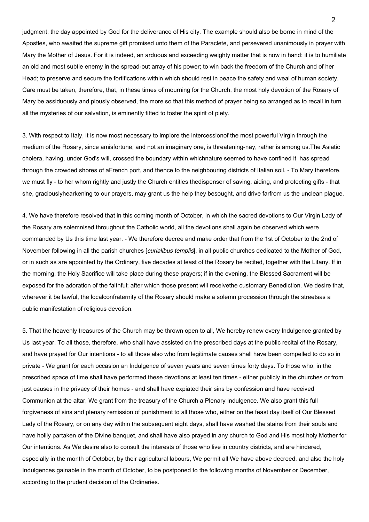judgment, the day appointed by God for the deliverance of His city. The example should also be borne in mind of the Apostles, who awaited the supreme gift promised unto them of the Paraclete, and persevered unanimously in prayer with Mary the Mother of Jesus. For it is indeed, an arduous and exceeding weighty matter that is now in hand: it is to humiliate an old and most subtle enemy in the spread-out array of his power; to win back the freedom of the Church and of her Head; to preserve and secure the fortifications within which should rest in peace the safety and weal of human society. Care must be taken, therefore, that, in these times of mourning for the Church, the most holy devotion of the Rosary of Mary be assiduously and piously observed, the more so that this method of prayer being so arranged as to recall in turn all the mysteries of our salvation, is eminently fitted to foster the spirit of piety.

3. With respect to Italy, it is now most necessary to implore the intercessionof the most powerful Virgin through the medium of the Rosary, since amisfortune, and not an imaginary one, is threatening-nay, rather is among us.The Asiatic cholera, having, under God's will, crossed the boundary within whichnature seemed to have confined it, has spread through the crowded shores of aFrench port, and thence to the neighbouring districts of Italian soil. - To Mary,therefore, we must fly - to her whom rightly and justly the Church entitles thedispenser of saving, aiding, and protecting gifts - that she, graciouslyhearkening to our prayers, may grant us the help they besought, and drive farfrom us the unclean plague.

4. We have therefore resolved that in this coming month of October, in which the sacred devotions to Our Virgin Lady of the Rosary are solemnised throughout the Catholic world, all the devotions shall again be observed which were commanded by Us this time last year. - We therefore decree and make order that from the 1st of October to the 2nd of November following in all the parish churches [curialibus templis], in all public churches dedicated to the Mother of God, or in such as are appointed by the Ordinary, five decades at least of the Rosary be recited, together with the Litany. If in the morning, the Holy Sacrifice will take place during these prayers; if in the evening, the Blessed Sacrament will be exposed for the adoration of the faithful; after which those present will receivethe customary Benediction. We desire that, wherever it be lawful, the localconfraternity of the Rosary should make a solemn procession through the streetsas a public manifestation of religious devotion.

5. That the heavenly treasures of the Church may be thrown open to all, We hereby renew every Indulgence granted by Us last year. To all those, therefore, who shall have assisted on the prescribed days at the public recital of the Rosary, and have prayed for Our intentions - to all those also who from legitimate causes shall have been compelled to do so in private - We grant for each occasion an Indulgence of seven years and seven times forty days. To those who, in the prescribed space of time shall have performed these devotions at least ten times - either publicly in the churches or from just causes in the privacy of their homes - and shall have expiated their sins by confession and have received Communion at the altar, We grant from the treasury of the Church a Plenary Indulgence. We also grant this full forgiveness of sins and plenary remission of punishment to all those who, either on the feast day itself of Our Blessed Lady of the Rosary, or on any day within the subsequent eight days, shall have washed the stains from their souls and have holily partaken of the Divine banquet, and shall have also prayed in any church to God and His most holy Mother for Our intentions. As We desire also to consult the interests of those who live in country districts, and are hindered, especially in the month of October, by their agricultural labours, We permit all We have above decreed, and also the holy Indulgences gainable in the month of October, to be postponed to the following months of November or December, according to the prudent decision of the Ordinaries.